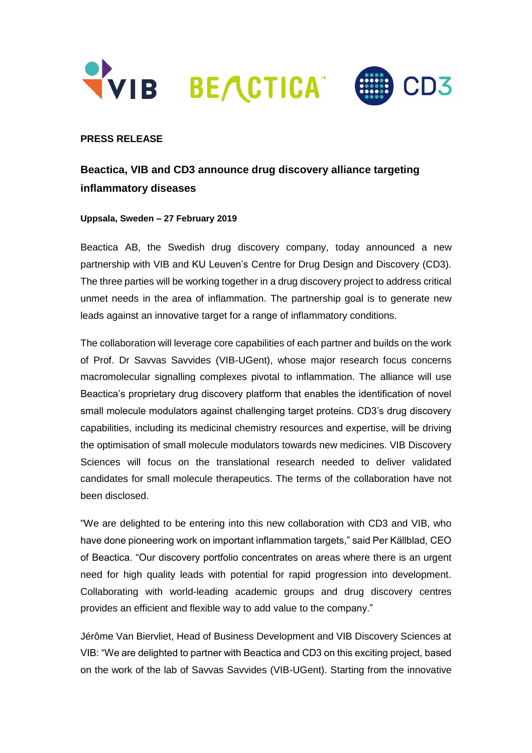



## **PRESS RELEASE**

# **Beactica, VIB and CD3 announce drug discovery alliance targeting inflammatory diseases**

### **Uppsala, Sweden – 27 February 2019**

Beactica AB, the Swedish drug discovery company, today announced a new partnership with VIB and KU Leuven's Centre for Drug Design and Discovery (CD3). The three parties will be working together in a drug discovery project to address critical unmet needs in the area of inflammation. The partnership goal is to generate new leads against an innovative target for a range of inflammatory conditions.

The collaboration will leverage core capabilities of each partner and builds on the work of Prof. Dr Savvas Savvides (VIB-UGent), whose major research focus concerns macromolecular signalling complexes pivotal to inflammation. The alliance will use Beactica's proprietary drug discovery platform that enables the identification of novel small molecule modulators against challenging target proteins. CD3's drug discovery capabilities, including its medicinal chemistry resources and expertise, will be driving the optimisation of small molecule modulators towards new medicines. VIB Discovery Sciences will focus on the translational research needed to deliver validated candidates for small molecule therapeutics. The terms of the collaboration have not been disclosed.

"We are delighted to be entering into this new collaboration with CD3 and VIB, who have done pioneering work on important inflammation targets," said Per Källblad, CEO of Beactica. "Our discovery portfolio concentrates on areas where there is an urgent need for high quality leads with potential for rapid progression into development. Collaborating with world-leading academic groups and drug discovery centres provides an efficient and flexible way to add value to the company."

Jérôme Van Biervliet, Head of Business Development and VIB Discovery Sciences at VIB: "We are delighted to partner with Beactica and CD3 on this exciting project, based on the work of the lab of Savvas Savvides (VIB-UGent). Starting from the innovative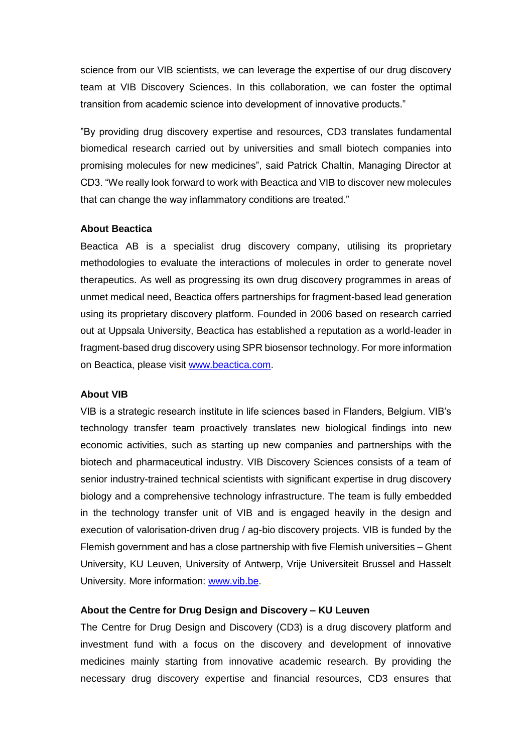science from our VIB scientists, we can leverage the expertise of our drug discovery team at VIB Discovery Sciences. In this collaboration, we can foster the optimal transition from academic science into development of innovative products."

"By providing drug discovery expertise and resources, CD3 translates fundamental biomedical research carried out by universities and small biotech companies into promising molecules for new medicines", said Patrick Chaltin, Managing Director at CD3. "We really look forward to work with Beactica and VIB to discover new molecules that can change the way inflammatory conditions are treated."

#### **About Beactica**

Beactica AB is a specialist drug discovery company, utilising its proprietary methodologies to evaluate the interactions of molecules in order to generate novel therapeutics. As well as progressing its own drug discovery programmes in areas of unmet medical need, Beactica offers partnerships for fragment-based lead generation using its proprietary discovery platform. Founded in 2006 based on research carried out at Uppsala University, Beactica has established a reputation as a world-leader in fragment-based drug discovery using SPR biosensor technology. For more information on Beactica, please visit [www.beactica.com.](http://www.beactica.com/)

#### **About VIB**

VIB is a strategic research institute in life sciences based in Flanders, Belgium. VIB's technology transfer team proactively translates new biological findings into new economic activities, such as starting up new companies and partnerships with the biotech and pharmaceutical industry. VIB Discovery Sciences consists of a team of senior industry-trained technical scientists with significant expertise in drug discovery biology and a comprehensive technology infrastructure. The team is fully embedded in the technology transfer unit of VIB and is engaged heavily in the design and execution of valorisation-driven drug / ag-bio discovery projects. VIB is funded by the Flemish government and has a close partnership with five Flemish universities – Ghent University, KU Leuven, University of Antwerp, Vrije Universiteit Brussel and Hasselt University. More information: [www.vib.be.](http://www.vib.be/)

#### **About the Centre for Drug Design and Discovery – KU Leuven**

The Centre for Drug Design and Discovery (CD3) is a drug discovery platform and investment fund with a focus on the discovery and development of innovative medicines mainly starting from innovative academic research. By providing the necessary drug discovery expertise and financial resources, CD3 ensures that